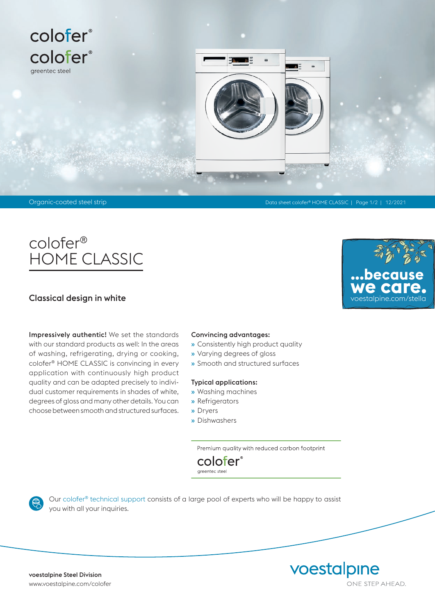

## colofer® HOME CLASSIC

### Classical design in white

Impressively authentic! We set the standards with our standard products as well: In the areas of washing, refrigerating, drying or cooking, colofer® HOME CLASSIC is convincing in every application with continuously high product quality and can be adapted precisely to individual customer requirements in shades of white, degrees of gloss and many other details. You can choose between smooth and structured surfaces.

#### Convincing advantages:

- » Consistently high product quality
- » Varying degrees of gloss
- » Smooth and structured surfaces

#### Typical applications:

- » Washing machines
- » Refrigerators
- » Dryers
- » Dishwashers

Premium quality with reduced carbon footprint



Our colofer® technical support consists of a large pool of experts who will be happy to assist you with all your inquiries.